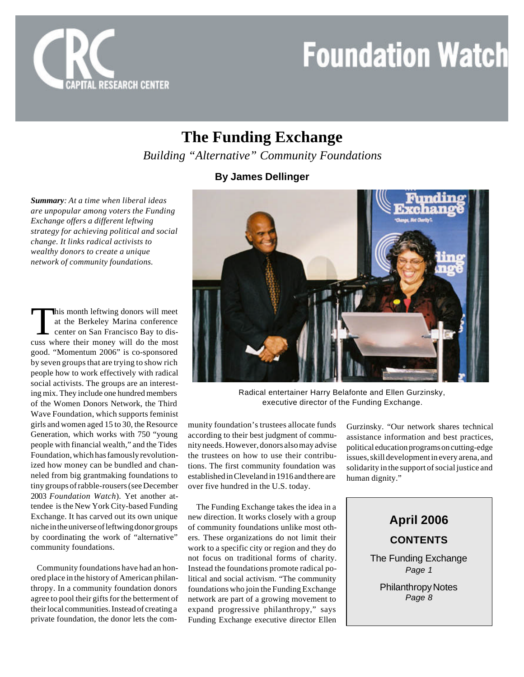

## **The Funding Exchange**

*Building "Alternative" Community Foundations*

#### **By James Dellinger**

*Summary: At a time when liberal ideas are unpopular among voters the Funding Exchange offers a different leftwing strategy for achieving political and social change. It links radical activists to wealthy donors to create a unique network of community foundations.*

This month leftwing donors will meet<br>at the Berkeley Marina conference<br>center on San Francisco Bay to dis-<br>cuss where their money will do the most his month leftwing donors will meet at the Berkeley Marina conference center on San Francisco Bay to disgood. "Momentum 2006" is co-sponsored by seven groups that are trying to show rich people how to work effectively with radical social activists. The groups are an interesting mix. They include one hundred members of the Women Donors Network, the Third Wave Foundation, which supports feminist girls and women aged 15 to 30, the Resource Generation, which works with 750 "young people with financial wealth," and the Tides Foundation, which has famously revolutionized how money can be bundled and channeled from big grantmaking foundations to tiny groups of rabble-rousers (see December 2003 *Foundation Watch*). Yet another attendee is the New York City-based Funding Exchange. It has carved out its own unique niche in the universe of leftwing donor groups by coordinating the work of "alternative" community foundations.

 Community foundations have had an honored place in the history of American philanthropy. In a community foundation donors agree to pool their gifts for the betterment of their local communities. Instead of creating a private foundation, the donor lets the com-



Radical entertainer Harry Belafonte and Ellen Gurzinsky, executive director of the Funding Exchange.

munity foundation's trustees allocate funds according to their best judgment of community needs. However, donors also may advise the trustees on how to use their contributions. The first community foundation was established in Cleveland in 1916 and there are over five hundred in the U.S. today.

 The Funding Exchange takes the idea in a new direction. It works closely with a group of community foundations unlike most others. These organizations do not limit their work to a specific city or region and they do not focus on traditional forms of charity. Instead the foundations promote radical political and social activism. "The community foundations who join the Funding Exchange network are part of a growing movement to expand progressive philanthropy," says Funding Exchange executive director Ellen

Gurzinsky. "Our network shares technical assistance information and best practices, political education programs on cutting-edge issues, skill development in every arena, and solidarity in the support of social justice and human dignity."

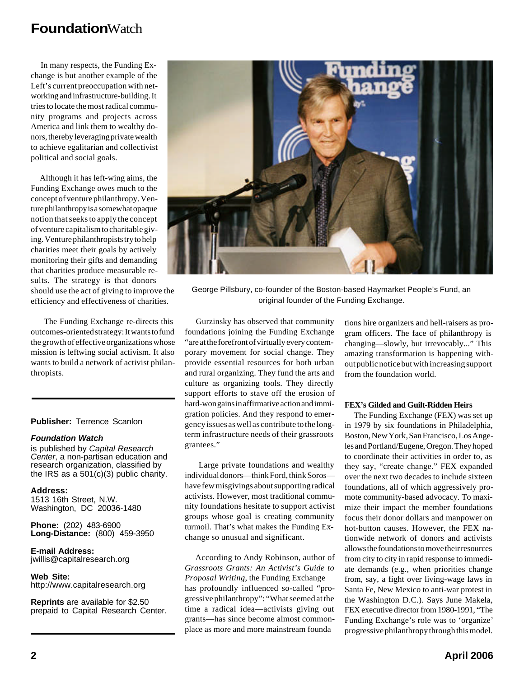In many respects, the Funding Exchange is but another example of the Left's current preoccupation with networking and infrastructure-building. It tries to locate the most radical community programs and projects across America and link them to wealthy donors, thereby leveraging private wealth to achieve egalitarian and collectivist political and social goals.

 Although it has left-wing aims, the Funding Exchange owes much to the concept of venture philanthropy. Venture philanthropy is a somewhat opaque notion that seeks to apply the concept of venture capitalism to charitable giving. Venture philanthropists try to help charities meet their goals by actively monitoring their gifts and demanding that charities produce measurable results. The strategy is that donors should use the act of giving to improve the efficiency and effectiveness of charities.

 The Funding Exchange re-directs this outcomes-oriented strategy: It wants to fund the growth of effective organizations whose mission is leftwing social activism. It also wants to build a network of activist philanthropists.

#### **Publisher:** Terrence Scanlon

#### *Foundation Watch*

is published by *Capital Research Center*, a non-partisan education and research organization, classified by the IRS as a 501(c)(3) public charity.

**Address:** 1513 16th Street, N.W. Washington, DC 20036-1480

**Phone:** (202) 483-6900 **Long-Distance:** (800) 459-3950

**E-mail Address:** jwillis@capitalresearch.org

**Web Site:** http://www.capitalresearch.org

**Reprints** are available for \$2.50 prepaid to Capital Research Center.



George Pillsbury, co-founder of the Boston-based Haymarket People's Fund, an original founder of the Funding Exchange.

 Gurzinsky has observed that community foundations joining the Funding Exchange "are at the forefront of virtually every contemporary movement for social change. They provide essential resources for both urban and rural organizing. They fund the arts and culture as organizing tools. They directly support efforts to stave off the erosion of hard-won gains in affirmative action and immigration policies. And they respond to emergency issues as well as contribute to the longterm infrastructure needs of their grassroots grantees."

 Large private foundations and wealthy individual donors—think Ford, think Soros have few misgivings about supporting radical activists. However, most traditional community foundations hesitate to support activist groups whose goal is creating community turmoil. That's what makes the Funding Exchange so unusual and significant.

 According to Andy Robinson, author of *Grassroots Grants: An Activist's Guide to Proposal Writing*, the Funding Exchange has profoundly influenced so-called "progressive philanthropy": "What seemed at the time a radical idea—activists giving out grants—has since become almost commonplace as more and more mainstream founda

tions hire organizers and hell-raisers as program officers. The face of philanthropy is changing—slowly, but irrevocably..." This amazing transformation is happening without public notice but with increasing support from the foundation world.

#### **FEX's Gilded and Guilt-Ridden Heirs**

 The Funding Exchange (FEX) was set up in 1979 by six foundations in Philadelphia, Boston, New York, San Francisco, Los Angeles and Portland/Eugene, Oregon. They hoped to coordinate their activities in order to, as they say, "create change." FEX expanded over the next two decades to include sixteen foundations, all of which aggressively promote community-based advocacy. To maximize their impact the member foundations focus their donor dollars and manpower on hot-button causes. However, the FEX nationwide network of donors and activists allows the foundations to move their resources from city to city in rapid response to immediate demands (e.g., when priorities change from, say, a fight over living-wage laws in Santa Fe, New Mexico to anti-war protest in the Washington D.C.). Says June Makela, FEX executive director from 1980-1991, "The Funding Exchange's role was to 'organize' progressive philanthropy through this model.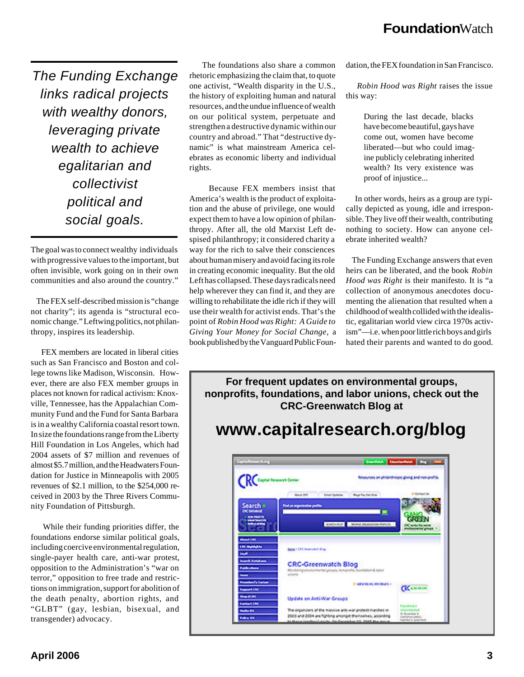*The Funding Exchange links radical projects with wealthy donors, leveraging private wealth to achieve egalitarian and collectivist political and social goals.*

The goal was to connect wealthy individuals with progressive values to the important, but often invisible, work going on in their own communities and also around the country."

 The FEX self-described mission is "change not charity"; its agenda is "structural economic change." Leftwing politics, not philanthropy, inspires its leadership.

 FEX members are located in liberal cities such as San Francisco and Boston and college towns like Madison, Wisconsin. However, there are also FEX member groups in places not known for radical activism: Knoxville, Tennessee, has the Appalachian Community Fund and the Fund for Santa Barbara is in a wealthy California coastal resort town. In size the foundations range from the Liberty Hill Foundation in Los Angeles, which had 2004 assets of \$7 million and revenues of almost \$5.7 million, and the Headwaters Foundation for Justice in Minneapolis with 2005 revenues of \$2.1 million, to the \$254,000 received in 2003 by the Three Rivers Community Foundation of Pittsburgh.

 While their funding priorities differ, the foundations endorse similar political goals, including coercive environmental regulation, single-payer health care, anti-war protest, opposition to the Administration's "war on terror," opposition to free trade and restrictions on immigration, support for abolition of the death penalty, abortion rights, and "GLBT" (gay, lesbian, bisexual, and transgender) advocacy.

 The foundations also share a common rhetoric emphasizing the claim that, to quote one activist, "Wealth disparity in the U.S., the history of exploiting human and natural resources, and the undue influence of wealth on our political system, perpetuate and strengthen a destructive dynamic within our country and abroad." That "destructive dynamic" is what mainstream America celebrates as economic liberty and individual rights.

 Because FEX members insist that America's wealth is the product of exploitation and the abuse of privilege, one would expect them to have a low opinion of philanthropy. After all, the old Marxist Left despised philanthropy; it considered charity a way for the rich to salve their consciences about human misery and avoid facing its role in creating economic inequality. But the old Left has collapsed. These days radicals need help wherever they can find it, and they are willing to rehabilitate the idle rich if they will use their wealth for activist ends. That's the point of *Robin Hood was Right: A Guide to Giving Your Money for Social Change*, a book published by the Vanguard Public Foundation, the FEX foundation in San Francisco.

 *Robin Hood was Right* raises the issue this way:

> During the last decade, blacks have become beautiful, gays have come out, women have become liberated—but who could imagine publicly celebrating inherited wealth? Its very existence was proof of injustice...

 In other words, heirs as a group are typically depicted as young, idle and irresponsible. They live off their wealth, contributing nothing to society. How can anyone celebrate inherited wealth?

 The Funding Exchange answers that even heirs can be liberated, and the book *Robin Hood was Right* is their manifesto. It is "a collection of anonymous anecdotes documenting the alienation that resulted when a childhood of wealth collided with the idealistic, egalitarian world view circa 1970s activism"—i.e. when poor little rich boys and girls hated their parents and wanted to do good.

**For frequent updates on environmental groups, nonprofits, foundations, and labor unions, check out the CRC-Greenwatch Blog at**

## **www.capitalresearch.org/blog**

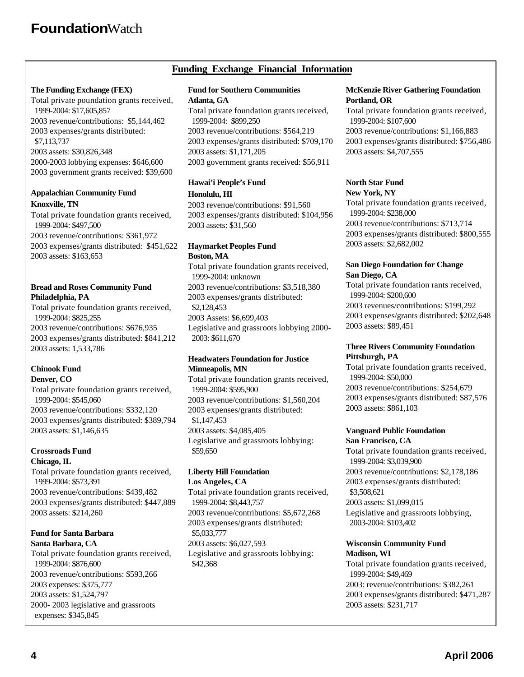#### **Funding Exchange Financial Information**

#### **The Funding Exchange (FEX)**

Total private poundation grants received, 1999-2004: \$17,605,857 2003 revenue/contributions: \$5,144,462 2003 expenses/grants distributed: \$7,113,737 2003 assets: \$30,826,348 2000-2003 lobbying expenses: \$646,600 2003 government grants received: \$39,600

#### **Appalachian Community Fund Knoxville, TN**

Total private foundation grants received, 1999-2004: \$497,500 2003 revenue/contributions: \$361,972

2003 expenses/grants distributed: \$451,622 2003 assets: \$163,653

#### **Bread and Roses Community Fund Philadelphia, PA**

Total private foundation grants received, 1999-2004: \$825,255 2003 revenue/contributions: \$676,935 2003 expenses/grants distributed: \$841,212 2003 assets: 1,533,786

#### **Chinook Fund Denver, CO**

Total private foundation grants received, 1999-2004: \$545,060 2003 revenue/contributions: \$332,120 2003 expenses/grants distributed: \$389,794 2003 assets: \$1,146,635

#### **Crossroads Fund Chicago, IL**

Total private foundation grants received, 1999-2004: \$573,391 2003 revenue/contributions: \$439,482 2003 expenses/grants distributed: \$447,889 2003 assets: \$214,260

#### **Fund for Santa Barbara Santa Barbara, CA**

Total private foundation grants received, 1999-2004: \$876,600 2003 revenue/contributions: \$593,266 2003 expenses: \$375,777 2003 assets: \$1,524,797 2000- 2003 legislative and grassroots expenses: \$345,845

#### **Fund for Southern Communities Atlanta, GA**

Total private foundation grants received, 1999-2004: \$899,250 2003 revenue/contributions: \$564,219 2003 expenses/grants distributed: \$709,170 2003 assets: \$1,171,205 2003 government grants received: \$56,911

#### **Hawai'i People's Fund Honolulu, HI**

2003 revenue/contributions: \$91,560 2003 expenses/grants distributed: \$104,956 2003 assets: \$31,560

#### **Haymarket Peoples Fund Boston, MA**

Total private foundation grants received, 1999-2004: unknown 2003 revenue/contributions: \$3,518,380 2003 expenses/grants distributed: \$2,128,453 2003 Assets: \$6,699,403 Legislative and grassroots lobbying 2000- 2003: \$611,670

#### **Headwaters Foundation for Justice Minneapolis, MN**

Total private foundation grants received, 1999-2004: \$595,900 2003 revenue/contributions: \$1,560,204 2003 expenses/grants distributed: \$1,147,453 2003 assets: \$4,085,405 Legislative and grassroots lobbying: \$59,650

#### **Liberty Hill Foundation Los Angeles, CA**

Total private foundation grants received, 1999-2004: \$8,443,757 2003 revenue/contributions: \$5,672,268 2003 expenses/grants distributed: \$5,033,777 2003 assets: \$6,027,593 Legislative and grassroots lobbying: \$42,368

#### **McKenzie River Gathering Foundation Portland, OR**

Total private foundation grants received, 1999-2004: \$107,600 2003 revenue/contributions: \$1,166,883 2003 expenses/grants distributed: \$756,486 2003 assets: \$4,707,555

#### **North Star Fund New York, NY**

Total private foundation grants received, 1999-2004: \$238,000 2003 revenue/contributions: \$713,714 2003 expenses/grants distributed: \$800,555 2003 assets: \$2,682,002

#### **San Diego Foundation for Change San Diego, CA**

Total private foundation rants received, 1999-2004: \$200,600 2003 revenues/contributions: \$199,292 2003 expenses/grants distributed: \$202,648 2003 assets: \$89,451

#### **Three Rivers Community Foundation Pittsburgh, PA**

Total private foundation grants received, 1999-2004: \$50,000 2003 revenue/contributions: \$254,679 2003 expenses/grants distributed: \$87,576 2003 assets: \$861,103

#### **Vanguard Public Foundation San Francisco, CA**

Total private foundation grants received, 1999-2004: \$3,039,900 2003 revenue/contributions: \$2,178,186 2003 expenses/grants distributed: \$3,508,621 2003 assets: \$1,099,015 Legislative and grassroots lobbying, 2003-2004: \$103,402

#### **Wisconsin Community Fund Madison, WI**

Total private foundation grants received, 1999-2004: \$49,469 2003: revenue/contributions: \$382,261 2003 expenses/grants distributed: \$471,287 2003 assets: \$231,717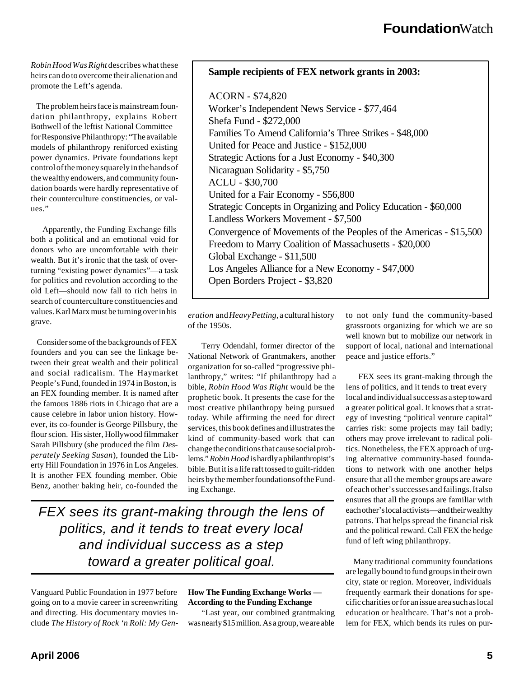*Robin Hood Was Right* describes what these heirs can do to overcome their alienation and promote the Left's agenda.

 The problem heirs face is mainstream foundation philanthropy, explains Robert Bothwell of the leftist National Committee for Responsive Philanthropy: "The available models of philanthropy reniforced existing power dynamics. Private foundations kept control of the money squarely in the hands of the wealthy endowers, and community foundation boards were hardly representative of their counterculture constituencies, or values."

 Apparently, the Funding Exchange fills both a political and an emotional void for donors who are uncomfortable with their wealth. But it's ironic that the task of overturning "existing power dynamics"—a task for politics and revolution according to the old Left—should now fall to rich heirs in search of counterculture constituencies and values. Karl Marx must be turning over in his grave.

 Consider some of the backgrounds of FEX founders and you can see the linkage between their great wealth and their political and social radicalism. The Haymarket People's Fund, founded in 1974 in Boston, is an FEX founding member. It is named after the famous 1886 riots in Chicago that are a cause celebre in labor union history. However, its co-founder is George Pillsbury, the flour scion. His sister, Hollywood filmmaker Sarah Pillsbury (she produced the film *Desperately Seeking Susan*), founded the Liberty Hill Foundation in 1976 in Los Angeles. It is another FEX founding member. Obie Benz, another baking heir, co-founded the

#### **Sample recipients of FEX network grants in 2003:**

ACORN - \$74,820 Worker's Independent News Service - \$77,464 Shefa Fund - \$272,000 Families To Amend California's Three Strikes - \$48,000 United for Peace and Justice - \$152,000 Strategic Actions for a Just Economy - \$40,300 Nicaraguan Solidarity - \$5,750 ACLU - \$30,700 United for a Fair Economy - \$56,800 Strategic Concepts in Organizing and Policy Education - \$60,000 Landless Workers Movement - \$7,500 Convergence of Movements of the Peoples of the Americas - \$15,500 Freedom to Marry Coalition of Massachusetts - \$20,000 Global Exchange - \$11,500 Los Angeles Alliance for a New Economy - \$47,000 Open Borders Project - \$3,820

*eration* and *Heavy Petting*, a cultural history of the 1950s.

 Terry Odendahl, former director of the National Network of Grantmakers, another organization for so-called "progressive philanthropy," writes: "If philanthropy had a bible, *Robin Hood Was Right* would be the prophetic book. It presents the case for the most creative philanthropy being pursued today. While affirming the need for direct services, this book defines and illustrates the kind of community-based work that can change the conditions that cause social problems." *Robin Hood* is hardly a philanthropist's bible. But it is a life raft tossed to guilt-ridden heirs by the member foundations of the Funding Exchange.

*FEX sees its grant-making through the lens of politics, and it tends to treat every local and individual success as a step toward a greater political goal.*

Vanguard Public Foundation in 1977 before going on to a movie career in screenwriting and directing. His documentary movies include *The History of Rock 'n Roll: My Gen-* **How The Funding Exchange Works — According to the Funding Exchange**

 "Last year, our combined grantmaking was nearly \$15 million. As a group, we are able

to not only fund the community-based grassroots organizing for which we are so well known but to mobilize our network in support of local, national and international peace and justice efforts."

 FEX sees its grant-making through the lens of politics, and it tends to treat every local and individual success as a step toward a greater political goal. It knows that a strategy of investing "political venture capital" carries risk: some projects may fail badly; others may prove irrelevant to radical politics. Nonetheless, the FEX approach of urging alternative community-based foundations to network with one another helps ensure that all the member groups are aware of each other's successes and failings. It also ensures that all the groups are familiar with each other's local activists—and their wealthy patrons. That helps spread the financial risk and the political reward. Call FEX the hedge fund of left wing philanthropy.

 Many traditional community foundations are legally bound to fund groups in their own city, state or region. Moreover, individuals frequently earmark their donations for specific charities or for an issue area such as local education or healthcare. That's not a problem for FEX, which bends its rules on pur-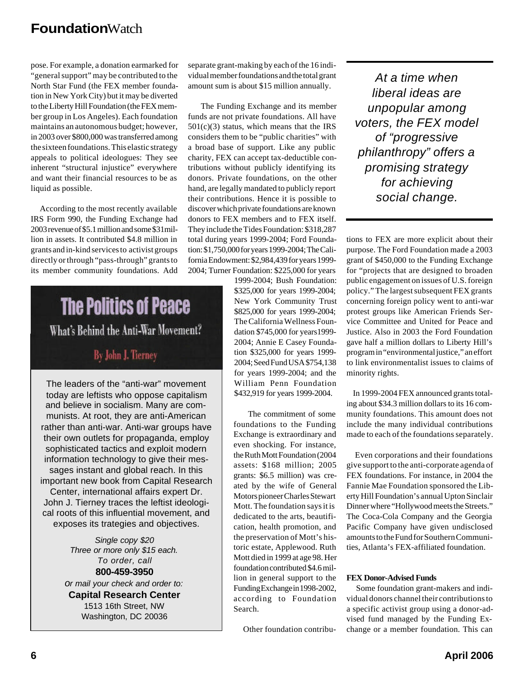pose. For example, a donation earmarked for "general support" may be contributed to the North Star Fund (the FEX member foundation in New York City) but it may be diverted to the Liberty Hill Foundation (the FEX member group in Los Angeles). Each foundation maintains an autonomous budget; however, in 2003 over \$800,000 was transferred among the sixteen foundations. This elastic strategy appeals to political ideologues: They see inherent "structural injustice" everywhere and want their financial resources to be as liquid as possible.

 According to the most recently available IRS Form 990, the Funding Exchange had 2003 revenue of \$5.1 million and some \$31million in assets. It contributed \$4.8 million in grants and in-kind services to activist groups directly or through "pass-through" grants to its member community foundations. Add

## **The Politics of Peace** What's Behind the Anti-War Movement?

### By John J. Tierney

The leaders of the "anti-war" movement today are leftists who oppose capitalism and believe in socialism. Many are communists. At root, they are anti-American rather than anti-war. Anti-war groups have their own outlets for propaganda, employ sophisticated tactics and exploit modern information technology to give their messages instant and global reach. In this important new book from Capital Research Center, international affairs expert Dr. John J. Tierney traces the leftist ideological roots of this influential movement, and exposes its trategies and objectives.

> *Single copy \$20 Three or more only \$15 each. To order, call* **800-459-3950** *or mail your check and order to:* **Capital Research Center** 1513 16th Street, NW Washington, DC 20036

separate grant-making by each of the 16 individual member foundations and the total grant amount sum is about \$15 million annually.

 The Funding Exchange and its member funds are not private foundations. All have  $501(c)(3)$  status, which means that the IRS considers them to be "public charities" with a broad base of support. Like any public charity, FEX can accept tax-deductible contributions without publicly identifying its donors. Private foundations, on the other hand, are legally mandated to publicly report their contributions. Hence it is possible to discover which private foundations are known donors to FEX members and to FEX itself. They include the Tides Foundation: \$318,287 total during years 1999-2004; Ford Foundation: \$1,750,000 for years 1999-2004; The California Endowment: \$2,984,439 for years 1999- 2004; Turner Foundation: \$225,000 for years

1999-2004; Bush Foundation: \$325,000 for years 1999-2004; New York Community Trust \$825,000 for years 1999-2004; The California Wellness Foundation \$745,000 for years1999- 2004; Annie E Casey Foundation \$325,000 for years 1999- 2004; Seed Fund USA \$754,138 for years 1999-2004; and the William Penn Foundation \$432,919 for years 1999-2004.

 The commitment of some foundations to the Funding Exchange is extraordinary and even shocking. For instance, the Ruth Mott Foundation (2004 assets: \$168 million; 2005 grants: \$6.5 million) was created by the wife of General Motors pioneer Charles Stewart Mott. The foundation says it is dedicated to the arts, beautification, health promotion, and the preservation of Mott's historic estate, Applewood. Ruth Mott died in 1999 at age 98. Her foundation contributed \$4.6 million in general support to the Funding Exchange in 1998-2002, according to Foundation Search.

Other foundation contribu-

*At a time when liberal ideas are unpopular among voters, the FEX model of "progressive philanthropy" offers a promising strategy for achieving social change.*

tions to FEX are more explicit about their purpose. The Ford Foundation made a 2003 grant of \$450,000 to the Funding Exchange for "projects that are designed to broaden public engagement on issues of U.S. foreign policy." The largest subsequent FEX grants concerning foreign policy went to anti-war protest groups like American Friends Service Committee and United for Peace and Justice. Also in 2003 the Ford Foundation gave half a million dollars to Liberty Hill's program in "environmental justice," an effort to link environmentalist issues to claims of minority rights.

 In 1999-2004 FEX announced grants totaling about \$34.3 million dollars to its 16 community foundations. This amount does not include the many individual contributions made to each of the foundations separately.

 Even corporations and their foundations give support to the anti-corporate agenda of FEX foundations. For instance, in 2004 the Fannie Mae Foundation sponsored the Liberty Hill Foundation's annual Upton Sinclair Dinner where "Hollywood meets the Streets." The Coca-Cola Company and the Georgia Pacific Company have given undisclosed amounts to the Fund for Southern Communities, Atlanta's FEX-affiliated foundation.

#### **FEX Donor-Advised Funds**

 Some foundation grant-makers and individual donors channel their contributions to a specific activist group using a donor-advised fund managed by the Funding Exchange or a member foundation. This can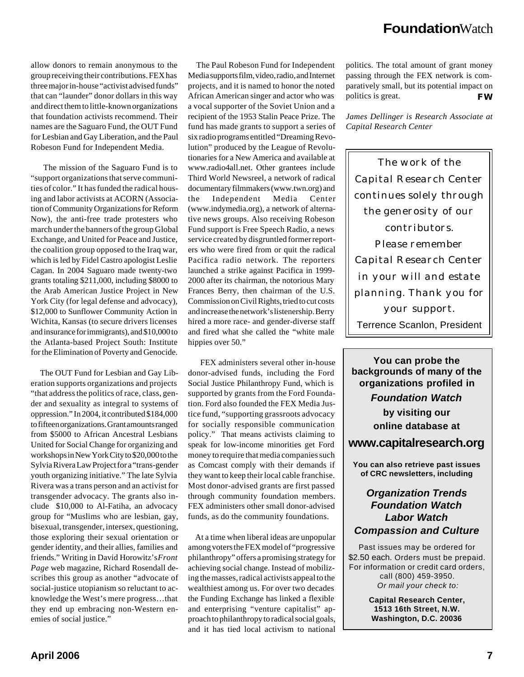allow donors to remain anonymous to the group receiving their contributions. FEX has three major in-house "activist advised funds" that can "launder" donor dollars in this way and direct them to little-known organizations that foundation activists recommend. Their names are the Saguaro Fund, the OUT Fund for Lesbian and Gay Liberation, and the Paul Robeson Fund for Independent Media.

 The mission of the Saguaro Fund is to "support organizations that serve communities of color." It has funded the radical housing and labor activists at ACORN (Association of Community Organizations for Reform Now), the anti-free trade protesters who march under the banners of the group Global Exchange, and United for Peace and Justice, the coalition group opposed to the Iraq war, which is led by Fidel Castro apologist Leslie Cagan. In 2004 Saguaro made twenty-two grants totaling \$211,000, including \$8000 to the Arab American Justice Project in New York City (for legal defense and advocacy), \$12,000 to Sunflower Community Action in Wichita, Kansas (to secure drivers licenses and insurance for immigrants), and \$10,000 to the Atlanta-based Project South: Institute for the Elimination of Poverty and Genocide.

 The OUT Fund for Lesbian and Gay Liberation supports organizations and projects "that address the politics of race, class, gender and sexuality as integral to systems of oppression." In 2004, it contributed \$184,000 to fifteen organizations. Grant amounts ranged from \$5000 to African Ancestral Lesbians United for Social Change for organizing and workshops in New York City to \$20,000 to the Sylvia Rivera Law Project for a "trans-gender youth organizing initiative." The late Sylvia Rivera was a trans person and an activist for transgender advocacy. The grants also include \$10,000 to Al-Fatiha, an advocacy group for "Muslims who are lesbian, gay, bisexual, transgender, intersex, questioning, those exploring their sexual orientation or gender identity, and their allies, families and friends." Writing in David Horowitz's *Front Page* web magazine, Richard Rosendall describes this group as another "advocate of social-justice utopianism so reluctant to acknowledge the West's mere progress…that they end up embracing non-Western enemies of social justice."

 The Paul Robeson Fund for Independent Media supports film, video, radio, and Internet projects, and it is named to honor the noted African American singer and actor who was a vocal supporter of the Soviet Union and a recipient of the 1953 Stalin Peace Prize. The fund has made grants to support a series of six radio programs entitled "Dreaming Revolution" produced by the League of Revolutionaries for a New America and available at www.radio4all.net. Other grantees include Third World Newsreel, a network of radical documentary filmmakers (www.twn.org) and the Independent Media Center (www.indymedia.org), a network of alternative news groups. Also receiving Robeson Fund support is Free Speech Radio, a news service created by disgruntled former reporters who were fired from or quit the radical Pacifica radio network. The reporters launched a strike against Pacifica in 1999- 2000 after its chairman, the notorious Mary Frances Berry, then chairman of the U.S. Commission on Civil Rights, tried to cut costs and increase the network's listenership. Berry hired a more race- and gender-diverse staff and fired what she called the "white male hippies over 50."

 FEX administers several other in-house donor-advised funds, including the Ford Social Justice Philanthropy Fund, which is supported by grants from the Ford Foundation. Ford also founded the FEX Media Justice fund, "supporting grassroots advocacy for socially responsible communication policy." That means activists claiming to speak for low-income minorities get Ford money to require that media companies such as Comcast comply with their demands if they want to keep their local cable franchise. Most donor-advised grants are first passed through community foundation members. FEX administers other small donor-advised funds, as do the community foundations.

 At a time when liberal ideas are unpopular among voters the FEX model of "progressive philanthropy" offers a promising strategy for achieving social change. Instead of mobilizing the masses, radical activists appeal to the wealthiest among us. For over two decades the Funding Exchange has linked a flexible and enterprising "venture capitalist" approach to philanthropy to radical social goals, and it has tied local activism to national

*FW* politics. The total amount of grant money passing through the FEX network is comparatively small, but its potential impact on politics is great.

*James Dellinger is Research Associate at Capital Research Center*

The work of the Capital Research Center continues solely through the generosity of our contributors. Please remember Capital Research Center in your will and estate planning. Thank you for your support. Terrence Scanlon, President

**You can probe the backgrounds of many of the organizations profiled in** *Foundation Watch* **by visiting our online database at www.capitalresearch.org**

**You can also retrieve past issues of CRC newsletters, including**

#### *Organization Trends Foundation Watch Labor Watch Compassion and Culture*

Past issues may be ordered for \$2.50 each. Orders must be prepaid. For information or credit card orders, call (800) 459-3950. *Or mail your check to:*

> **Capital Research Center, 1513 16th Street, N.W. Washington, D.C. 20036**